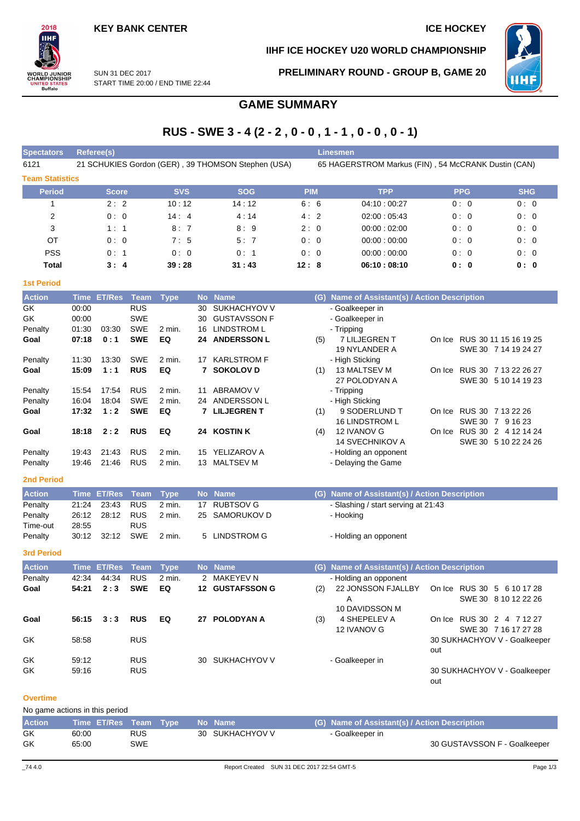## **IIHF ICE HOCKEY U20 WORLD CHAMPIONSHIP**



SUN 31 DEC 2017 START TIME 20:00 / END TIME 22:44 **PRELIMINARY ROUND - GROUP B, GAME 20**

# **GAME SUMMARY**

# **RUS - SWE 3 - 4 (2 - 2 , 0 - 0 , 1 - 1 , 0 - 0 , 0 - 1)**

| <b>Spectators</b>      | Referee(s)   |            |                                                    | <b>Linesmen</b> |                                                     |            |            |
|------------------------|--------------|------------|----------------------------------------------------|-----------------|-----------------------------------------------------|------------|------------|
| 6121                   |              |            | 21 SCHUKIES Gordon (GER), 39 THOMSON Stephen (USA) |                 | 65 HAGERSTROM Markus (FIN), 54 McCRANK Dustin (CAN) |            |            |
| <b>Team Statistics</b> |              |            |                                                    |                 |                                                     |            |            |
| Period                 | <b>Score</b> | <b>SVS</b> | <b>SOG</b>                                         | <b>PIM</b>      | <b>TPP</b>                                          | <b>PPG</b> | <b>SHG</b> |
|                        | 2:2          | 10:12      | 14:12                                              | 6:6             | 04:10:00:27                                         | 0:0        | 0:0        |
| $\overline{2}$         | 0:0          | 14:4       | 4:14                                               | 4:2             | 02:00:05:43                                         | 0:0        | 0:0        |
| 3                      | 1:1          | 8:7        | 8:9                                                | 2:0             | 00:00:02:00                                         | 0:0        | 0:0        |
| OT                     | 0:0          | 7:5        | 5:7                                                | 0:0             | 00:00:00:00                                         | 0:0        | 0:0        |
| <b>PSS</b>             | 0:1          | 0:0        | 0:1                                                | 0:0             | 00:00:00:00                                         | 0:0        | 0:0        |
| Total                  | 3:4          | 39:28      | 31:43                                              | 12:8            | 06:10:08:10                                         | 0: 0       | 0:0        |

## **1st Period**

 $2018$ IIНI

**VORLD JUNIOR**<br>HAMPIONSHIP

UNITED STATES<br>Buffalo

| <b>Action</b> |       | Time ET/Res | Team       | <b>Type</b>       |    | No Name             | (G) | Name of Assistant(s) / Action Description |        |                             |
|---------------|-------|-------------|------------|-------------------|----|---------------------|-----|-------------------------------------------|--------|-----------------------------|
| GK.           | 00:00 |             | <b>RUS</b> |                   | 30 | SUKHACHYOV V        |     | - Goalkeeper in                           |        |                             |
| GK.           | 00:00 |             | <b>SWE</b> |                   | 30 | <b>GUSTAVSSON F</b> |     | - Goalkeeper in                           |        |                             |
| Penalty       | 01:30 | 03:30       | <b>SWE</b> | $2 \text{ min}$ . | 16 | <b>LINDSTROM L</b>  |     | - Tripping                                |        |                             |
| Goal          | 07:18 | 0:1         | <b>SWE</b> | EQ                | 24 | <b>ANDERSSON L</b>  | (5) | 7 LILJEGREN T                             | On Ice | RUS 30 11 15 16 19 25       |
|               |       |             |            |                   |    |                     |     | 19 NYLANDER A                             |        | SWE 30 7 14 19 24 27        |
| Penalty       | 11:30 | 13:30       | <b>SWE</b> | $2$ min.          | 17 | <b>KARLSTROM F</b>  |     | - High Sticking                           |        |                             |
| Goal          | 15:09 | 1:1         | <b>RUS</b> | EQ                |    | <b>7 SOKOLOV D</b>  | (1) | 13 MALTSEV M                              |        | On Ice RUS 30 7 13 22 26 27 |
|               |       |             |            |                   |    |                     |     | 27 POLODYAN A                             |        | SWE 30 5 10 14 19 23        |
| Penalty       | 15:54 | 17:54       | <b>RUS</b> | 2 min.            | 11 | <b>ABRAMOV V</b>    |     | - Tripping                                |        |                             |
| Penalty       | 16:04 | 18:04       | <b>SWE</b> | 2 min.            | 24 | ANDERSSON L         |     | - High Sticking                           |        |                             |
| Goal          | 17:32 | 1:2         | <b>SWE</b> | EQ                |    | 7 LILJEGREN T       | (1) | 9 SODERLUND T                             | On Ice | RUS 30 7 13 22 26           |
|               |       |             |            |                   |    |                     |     | <b>16 LINDSTROM L</b>                     |        | SWE 30 7 9 16 23            |
| Goal          | 18:18 | 2:2         | <b>RUS</b> | EQ                | 24 | <b>KOSTIN K</b>     | (4) | 12 IVANOV G                               | On Ice | RUS 30 2 4 12 14 24         |
|               |       |             |            |                   |    |                     |     | <b>14 SVECHNIKOV A</b>                    |        | SWE 30 5 10 22 24 26        |
| Penalty       | 19:43 | 21:43       | <b>RUS</b> | 2 min.            | 15 | YELIZAROV A         |     | - Holding an opponent                     |        |                             |
| Penalty       | 19:46 | 21:46       | <b>RUS</b> | 2 min.            | 13 | <b>MALTSEV M</b>    |     | - Delaying the Game                       |        |                             |

## **2nd Period**

| <b>Action</b> |       | Time ET/Res Team Type |            |        | No Name        | (G) Name of Assistant(s) / Action Description |
|---------------|-------|-----------------------|------------|--------|----------------|-----------------------------------------------|
| Penalty       | 21:24 | 23:43                 | <b>RUS</b> | 2 min. | 17 RUBTSOV G   | - Slashing / start serving at 21:43           |
| Penalty       |       | 26:12 28:12           | <b>RUS</b> | 2 min. | 25 SAMORUKOV D | - Hooking                                     |
| Time-out      | 28:55 |                       | <b>RUS</b> |        |                |                                               |
| Penalty       |       | 30:12 32:12           | SWE        | 2 min. | 5 LINDSTROM G  | - Holding an opponent                         |

### **3rd Period**

| <b>Action</b> |       | <u>'Time</u> ET/Res Team」 |            | Type     |    | No Name             | (G) Name of Assistant(s) / Action Description |                       |     |                              |  |  |  |  |  |
|---------------|-------|---------------------------|------------|----------|----|---------------------|-----------------------------------------------|-----------------------|-----|------------------------------|--|--|--|--|--|
| Penalty       | 42:34 | 44:34                     | <b>RUS</b> | $2$ min. |    | 2 MAKEYEV N         |                                               | - Holding an opponent |     |                              |  |  |  |  |  |
| Goal          | 54:21 | 2:3                       | <b>SWE</b> | EQ       | 12 | <b>GUSTAFSSON G</b> | (2)                                           | 22 JONSSON FJALLBY    |     | On Ice RUS 30 5 6 10 17 28   |  |  |  |  |  |
|               |       |                           |            |          |    |                     |                                               | A                     |     | SWE 30 8 10 12 22 26         |  |  |  |  |  |
|               |       |                           |            |          |    |                     |                                               | 10 DAVIDSSON M        |     |                              |  |  |  |  |  |
| Goal          | 56:15 | 3:3                       | <b>RUS</b> | EQ       | 27 | <b>POLODYAN A</b>   | (3)                                           | 4 SHEPELEV A          |     | On Ice RUS 30 2 4 7 12 27    |  |  |  |  |  |
|               |       |                           |            |          |    |                     |                                               | 12 IVANOV G           |     | SWE 30 7 16 17 27 28         |  |  |  |  |  |
| GK            | 58:58 |                           | <b>RUS</b> |          |    |                     |                                               |                       |     | 30 SUKHACHYOV V - Goalkeeper |  |  |  |  |  |
|               |       |                           |            |          |    |                     |                                               |                       | out |                              |  |  |  |  |  |
| GK            | 59:12 |                           | <b>RUS</b> |          | 30 | SUKHACHYOV V        |                                               | - Goalkeeper in       |     |                              |  |  |  |  |  |
| GK            | 59:16 |                           | <b>RUS</b> |          |    |                     |                                               |                       |     | 30 SUKHACHYOV V - Goalkeeper |  |  |  |  |  |
|               |       |                           |            |          |    |                     |                                               |                       | out |                              |  |  |  |  |  |

## **Overtime**

No game actions in this period

| <b>Action</b> | Time ET/Res Team Type |            |  | Mo Name \       | (G) Name of Assistant(s) / Action Description |                              |
|---------------|-----------------------|------------|--|-----------------|-----------------------------------------------|------------------------------|
| GK            | 60:00                 | <b>RUS</b> |  | 30 SUKHACHYOV V | - Goalkeeper in                               |                              |
| GK            | 65:00                 | <b>SWE</b> |  |                 |                                               | 30 GUSTAVSSON F - Goalkeeper |
|               |                       |            |  |                 |                                               |                              |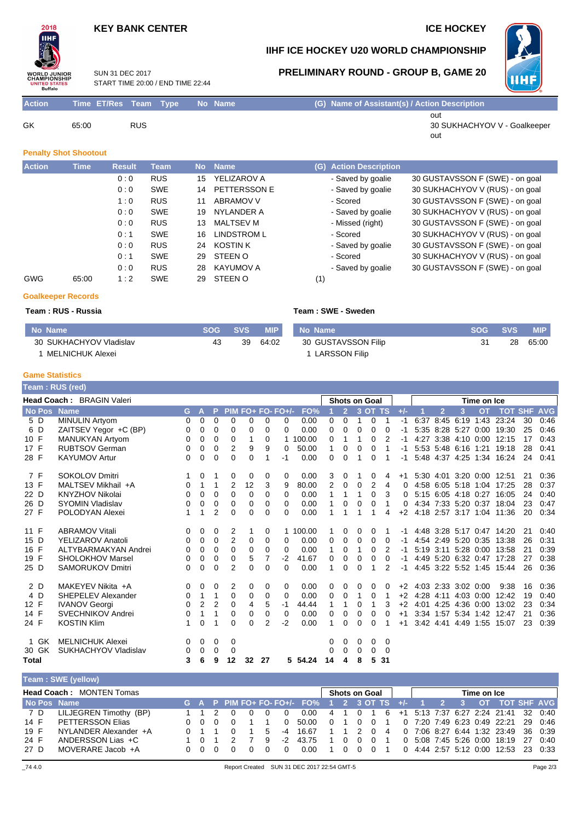## **KEY BANK CENTER ICE HOCKEY**

# $2018$ IІHI **WORLD JUNIOR**<br>CHAMPIONSHIP TATES Buffalo

## **IIHF ICE HOCKEY U20 WORLD CHAMPIONSHIP**

**PRELIMINARY ROUND - GROUP B, GAME 20**



SUN 31 DEC 2017 START TIME 20:00 / END TIME 22:44

| <b>Action</b> | Time ET/Res Team Type |     | No Name | (G) Name of Assistant(s) / Action Description |
|---------------|-----------------------|-----|---------|-----------------------------------------------|
|               |                       |     |         | out                                           |
| GK            | 65:00                 | RUS |         | 30 SUKHACHYOV V - Goalkeeper                  |

out

## **Penalty Shot Shootout**

| <b>Action</b> | <b>Time</b> | <b>Result</b> | <b>Team</b> | <b>No</b> | <b>Name</b>      | (G) Action Description |                                 |
|---------------|-------------|---------------|-------------|-----------|------------------|------------------------|---------------------------------|
|               |             | 0:0           | <b>RUS</b>  | 15        | YELIZAROV A      | - Saved by goalie      | 30 GUSTAVSSON F (SWE) - on goal |
|               |             | 0:0           | <b>SWE</b>  | 14        | PETTERSSON E     | - Saved by goalie      | 30 SUKHACHYOV V (RUS) - on goal |
|               |             | 1:0           | <b>RUS</b>  | 11        | <b>ABRAMOV V</b> | - Scored               | 30 GUSTAVSSON F (SWE) - on goal |
|               |             | 0:0           | <b>SWE</b>  | 19        | NYLANDER A       | - Saved by goalie      | 30 SUKHACHYOV V (RUS) - on goal |
|               |             | 0:0           | <b>RUS</b>  | 13        | <b>MALTSEV M</b> | - Missed (right)       | 30 GUSTAVSSON F (SWE) - on goal |
|               |             | 0:1           | <b>SWE</b>  | 16        | LINDSTROM L      | - Scored               | 30 SUKHACHYOV V (RUS) - on goal |
|               |             | 0:0           | <b>RUS</b>  | 24        | <b>KOSTIN K</b>  | - Saved by goalie      | 30 GUSTAVSSON F (SWE) - on goal |
|               |             | 0:1           | <b>SWE</b>  | 29        | STEEN O          | - Scored               | 30 SUKHACHYOV V (RUS) - on goal |
|               |             | 0:0           | <b>RUS</b>  | 28        | KAYUMOV A        | - Saved by goalie      | 30 GUSTAVSSON F (SWE) - on goal |
| <b>GWG</b>    | 65:00       | 1:2           | <b>SWE</b>  | 29        | STEEN O          | (1)                    |                                 |

## **Goalkeeper Records**

## **Team : RUS - Russia Team : SWE - Sweden**

| No Name                 | <b>SOG</b> | <b>SVS</b> | <b>MIP</b> | l No Name           | SOG SVS | <b>MIP</b> |
|-------------------------|------------|------------|------------|---------------------|---------|------------|
| 30 SUKHACHYOV Vladislav | 43         | 39         | 64:02      | 30 GUSTAVSSON Filip | 28      | 65:00      |
| 1 MELNICHUK Alexei      |            |            |            | 1 LARSSON Filip     |         |            |

#### **Game Statistics**

Г

|             | <b>Feam : RUS (red)</b>   |          |                |                |                |    |          |                   |          |    |                |   |                      |          |                  |      |                |                     |             |                           |            |            |
|-------------|---------------------------|----------|----------------|----------------|----------------|----|----------|-------------------|----------|----|----------------|---|----------------------|----------|------------------|------|----------------|---------------------|-------------|---------------------------|------------|------------|
|             | Head Coach: BRAGIN Valeri |          |                |                |                |    |          |                   |          |    |                |   | <b>Shots on Goal</b> |          |                  |      |                |                     | Time on Ice |                           |            |            |
| No Pos Name |                           | G.       | А              | P              |                |    |          | PIM FO+ FO- FO+/- | FO%      |    | $\overline{2}$ |   | 3 OT TS              |          | $+/-$            |      | $\overline{2}$ | 3                   | <b>OT</b>   | <b>TOT</b>                | <b>SHF</b> | <b>AVG</b> |
| 5 D         | <b>MINULIN Artyom</b>     | 0        | 0              | 0              | 0              | 0  | 0        | 0                 | 0.00     | 0  | 0              | 1 | 0                    | 1        | -1               | 6:37 |                | 8:45 6:19           | 1:43        | 23:24                     | 30         | 0:46       |
| 6 D         | ZAITSEV Yegor +C (BP)     | 0        | 0              | 0              | 0              | 0  | $\Omega$ | $\Omega$          | 0.00     | 0  | 0              | 0 | 0                    | 0        | -1               |      |                | 5:35 8:28 5:27      | 0:00        | 19:30                     | 25         | 0:46       |
| 10 F        | MANUKYAN Artyom           | 0        | 0              | 0              | 0              | 1  | 0        | 1                 | 100.00   | 0  |                |   | 0                    | 2        | -1               | 4:27 |                | $3:38$ 4:10         | 0:00        | 12:15                     | 17         | 0:43       |
| 17 F        | <b>RUBTSOV German</b>     | 0        | $\mathbf 0$    | 0              | 2              | 9  | 9        | $\Omega$          | 50.00    | 1  | 0              | 0 | 0                    | 1        |                  |      |                | 5:53 5:48 6:16 1:21 |             | 19:18                     | 28         | 0:41       |
| 28 F        | <b>KAYUMOV Artur</b>      | 0        | $\mathbf 0$    | $\mathbf 0$    | 0              | 0  |          | -1                | 0.00     | 0  | 0              |   | 0                    |          | -1               |      |                | 5:48 4:37 4:25 1:34 |             | 16:24                     | 24         | 0:41       |
| 7 F         | <b>SOKOLOV Dmitri</b>     | 1        | 0              | -1             | 0              | 0  | 0        | 0                 | 0.00     | 3  | 0              |   | 0                    | 4        | $+1$             |      |                | 5:30 4:01 3:20 0:00 |             | 12:51                     | 21         | 0:36       |
| 13 F        | MALTSEV Mikhail +A        | 0        | 1              | 1              | 2              | 12 | 3        | 9                 | 80.00    | 2  | 0              | 0 | 2                    | 4        | 0                | 4:58 |                | 6:05 5:18 1:04      |             | 17:25                     | 28         | 0:37       |
| 22 D        | <b>KNYZHOV Nikolai</b>    | 0        | 0              | 0              | $\Omega$       | 0  | 0        | $\Omega$          | 0.00     | 1  |                |   | 0                    | 3        | 0                |      |                |                     |             | 5:15 6:05 4:18 0:27 16:05 | 24         | 0:40       |
| 26 D        | <b>SYOMIN Vladislav</b>   | 0        | 0              | 0              | 0              | 0  | 0        | 0                 | 0.00     |    | 0              | 0 | 0                    | 1        | 0                |      |                | 4:34 7:33 5:20 0:37 |             | 18:04                     | 23         | 0:47       |
| 27 F        | POLODYAN Alexei           | 1        | 1              | $\overline{2}$ | $\Omega$       | 0  | 0        | $\Omega$          | 0.00     |    | 1              | 1 | 1                    | 4        | $+2$             |      |                | 4:18 2:57 3:17 1:04 |             | 11:36                     | 20         | 0:34       |
| 11 F        | <b>ABRAMOV Vitali</b>     | 0        | 0              | 0              | 2              |    | 0        |                   | 1 100.00 |    | 0              | 0 | 0                    |          | -1               |      |                |                     |             | 4:48 3:28 5:17 0:47 14:20 | 21         | 0:40       |
| 15 D        | YELIZAROV Anatoli         | $\Omega$ | 0              | 0              | $\overline{2}$ | 0  | 0        | 0                 | 0.00     | 0  | 0              | 0 | $\Omega$             | 0        | -1               | 4:54 |                | 2:49 5:20           |             | 0:35 13:38                | 26         | 0:31       |
| 16 F        | ALTYBARMAKYAN Andrei      | 0        | 0              | 0              | $\Omega$       | 0  | $\Omega$ | $\Omega$          | 0.00     | 1  | 0              | 1 | 0                    | 2        | -1               |      |                | 5:19 3:11 5:28      | 0:00        | 13:58                     | 21         | 0:39       |
| 19 F        | <b>SHOLOKHOV Marsel</b>   | 0        | 0              | 0              | 0              | 5  |          | $-2$              | 41.67    | 0  | 0              | 0 | 0                    | 0        | -1               |      |                | 4:49 5:20 6:32 0:47 |             | 17:28                     | 27         | 0:38       |
| 25 D        | <b>SAMORUKOV Dmitri</b>   | 0        | 0              | $\Omega$       | 2              | 0  | $\Omega$ | 0                 | 0.00     | 1  | $\Omega$       | 0 |                      | 2        | -1               |      |                |                     |             | 4:45 3:22 5:52 1:45 15:44 | 26         | 0:36       |
| 2 D         | MAKEYEV Nikita +A         | 0        | 0              | 0              | 2              | 0  | 0        | $\Omega$          | 0.00     | 0  | 0              | 0 | 0                    | 0        | $+2$             |      |                | 4:03 2:33 3:02 0:00 |             | 9:38                      | 16         | 0:36       |
| 4 D         | SHEPELEV Alexander        | $\Omega$ | 1              | 1              | 0              | 0  | 0        | $\Omega$          | 0.00     | 0  | $\Omega$       | 1 | 0                    |          | $+2$             |      |                | 4:28 4:11 4:03      | 0:00        | 12:42                     | 19         | 0:40       |
| 12 F        | <b>IVANOV Georgi</b>      | 0        | $\overline{2}$ | $\overline{2}$ | $\mathbf 0$    | 4  | 5        | -1                | 44.44    |    |                | 0 |                      | 3        | $+2$             | 4:01 |                | 4:25 4:36           | 0:00        | 13:02                     | 23         | 0:34       |
| 14 F        | <b>SVECHNIKOV Andrei</b>  | 0        | 1              | 1              | 0              | 0  | 0        | 0                 | 0.00     | 0  | 0              | 0 | 0                    | 0        | $+1$             |      |                |                     |             | 3:34 1:57 5:34 1:42 12:47 | 21         | 0:36       |
| 24 F        | <b>KOSTIN Klim</b>        | 1        | 0              | 1              | 0              | 0  | 2        | $-2$              | 0.00     |    | 0              | 0 | 0                    |          | $^{\mathrm{+1}}$ | 3:42 | 4:41           | 4:49                | 1:55        | 15:07                     | 23         | 0:39       |
| 1 GK        | <b>MELNICHUK Alexei</b>   | 0        | 0              | 0              | 0              |    |          |                   |          | 0  | 0              | 0 | 0                    | $\Omega$ |                  |      |                |                     |             |                           |            |            |
| 30 GK       | SUKHACHYOV Vladislav      | 0        | 0              | 0              | 0              |    |          |                   |          | 0  | $\Omega$       | 0 | 0                    | $\Omega$ |                  |      |                |                     |             |                           |            |            |
| Total       |                           | 3        | 6              | 9              | 12             | 32 | 27       | 5                 | 54.24    | 14 | 4              | 8 | 5                    | 31       |                  |      |                |                     |             |                           |            |            |

|       | Team: SWE (yellow)              |                        |  |      |  |  |  |   |      |                                             |           |  |               |  |  |  |             |                                        |                 |
|-------|---------------------------------|------------------------|--|------|--|--|--|---|------|---------------------------------------------|-----------|--|---------------|--|--|--|-------------|----------------------------------------|-----------------|
|       | <b>Head Coach: MONTEN Tomas</b> |                        |  |      |  |  |  |   |      |                                             |           |  | Shots on Goal |  |  |  | Time on Ice |                                        |                 |
|       |                                 | No Pos Name            |  |      |  |  |  |   |      | G A P PIM FO+ FO- FO+/- FO% 1 2 3 OT TS +/- |           |  |               |  |  |  |             | 2 3 OT TOT SHF AVG                     |                 |
| - 7 D |                                 | LILJEGREN Timothy (BP) |  |      |  |  |  |   |      | 0.00                                        |           |  |               |  |  |  |             | 4 1 0 1 6 +1 5:13 7:37 6:27 2:24 21:41 | $32 \quad 0.40$ |
| 14 F  |                                 | PETTERSSON Elias       |  | 000  |  |  |  |   |      | 0 50.00                                     | 0 1 0 0 1 |  |               |  |  |  |             | 0 7:20 7:49 6:23 0:49 22:21            | 29 0:46         |
| 19 F  |                                 | NYLANDER Alexander +A  |  |      |  |  |  | 5 | $-4$ | 16.67                                       | 1 1 2 0 4 |  |               |  |  |  |             | 0 7:06 8:27 6:44 1:32 23:49            | 36 0:39         |
| 24 F  |                                 | ANDERSSON Lias +C      |  | 1 O  |  |  |  | 9 | -2   | 43.75                                       | 1 0 0 0 1 |  |               |  |  |  |             | 0 5:08 7:45 5:26 0:00 18:19            | 27 0:40         |
| 27 D  |                                 | MOVERARE Jacob +A      |  | 00 Q |  |  |  |   |      | 0.00                                        | 1 0 0 0 1 |  |               |  |  |  |             | $0$ 4.44 2:57 5:12 0:00 12:53          | 23 0:33         |